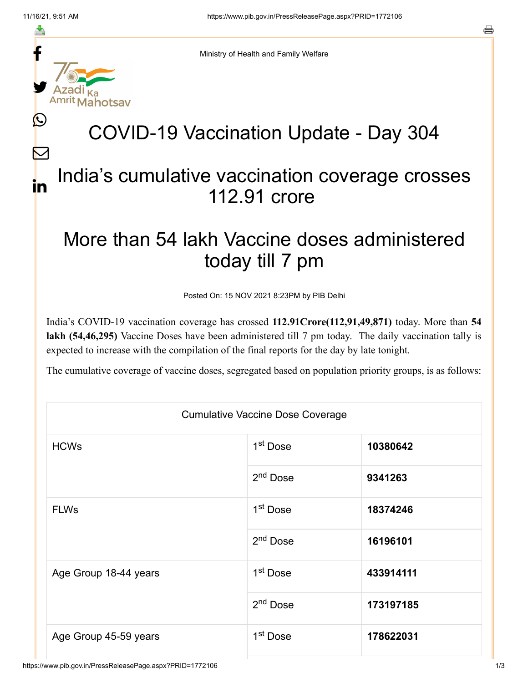≛

Ŀ

 $\bm{\nabla}$ 

in



Ministry of Health and Family Welfare

## COVID-19 Vaccination Update - Day 304

## India's cumulative vaccination coverage crosses 112.91 crore

## More than 54 lakh Vaccine doses administered today till 7 pm

Posted On: 15 NOV 2021 8:23PM by PIB Delhi

India's COVID-19 vaccination coverage has crossed **112.91Crore(112,91,49,871)** today. More than **54 lakh (54,46,295)** Vaccine Doses have been administered till 7 pm today. The daily vaccination tally is expected to increase with the compilation of the final reports for the day by late tonight.

The cumulative coverage of vaccine doses, segregated based on population priority groups, is as follows:

| <b>Cumulative Vaccine Dose Coverage</b> |                      |           |  |  |
|-----------------------------------------|----------------------|-----------|--|--|
| <b>HCWs</b>                             | 1 <sup>st</sup> Dose | 10380642  |  |  |
|                                         | 2 <sup>nd</sup> Dose | 9341263   |  |  |
| <b>FLWs</b>                             | 1 <sup>st</sup> Dose | 18374246  |  |  |
|                                         | $2nd$ Dose           | 16196101  |  |  |
| Age Group 18-44 years                   | 1 <sup>st</sup> Dose | 433914111 |  |  |
|                                         | $2nd$ Dose           | 173197185 |  |  |
| Age Group 45-59 years                   | 1 <sup>st</sup> Dose | 178622031 |  |  |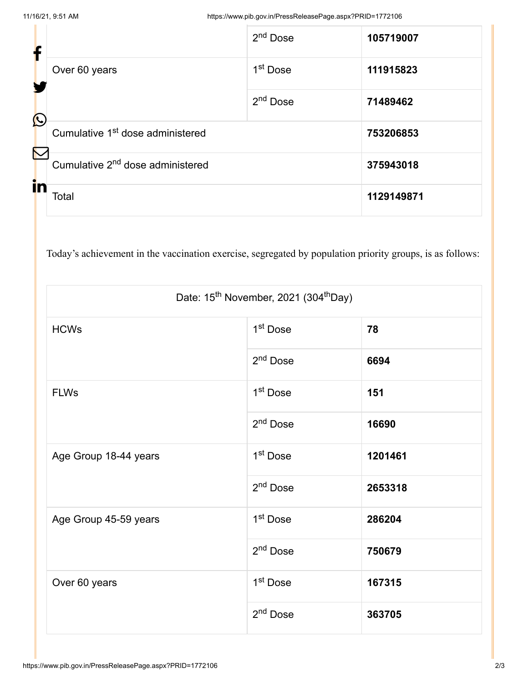| f                 |                                              | 2 <sup>nd</sup> Dose | 105719007  |
|-------------------|----------------------------------------------|----------------------|------------|
|                   | Over 60 years                                | 1 <sup>st</sup> Dose | 111915823  |
| $\mathbf{\Omega}$ |                                              | 2 <sup>nd</sup> Dose | 71489462   |
| K                 | Cumulative 1 <sup>st</sup> dose administered |                      | 753206853  |
|                   | Cumulative 2 <sup>nd</sup> dose administered |                      | 375943018  |
| in                | Total                                        |                      | 1129149871 |

Today's achievement in the vaccination exercise, segregated by population priority groups, is as follows:

| Date: 15 <sup>th</sup> November, 2021 (304 <sup>th</sup> Day) |                      |         |  |  |
|---------------------------------------------------------------|----------------------|---------|--|--|
| <b>HCWs</b>                                                   | 1 <sup>st</sup> Dose | 78      |  |  |
|                                                               | 2 <sup>nd</sup> Dose | 6694    |  |  |
| <b>FLWs</b>                                                   | 1 <sup>st</sup> Dose | 151     |  |  |
|                                                               | 2 <sup>nd</sup> Dose | 16690   |  |  |
| Age Group 18-44 years                                         | 1 <sup>st</sup> Dose | 1201461 |  |  |
|                                                               | 2 <sup>nd</sup> Dose | 2653318 |  |  |
| Age Group 45-59 years                                         | 1 <sup>st</sup> Dose | 286204  |  |  |
|                                                               | 2 <sup>nd</sup> Dose | 750679  |  |  |
| Over 60 years                                                 | 1 <sup>st</sup> Dose | 167315  |  |  |
|                                                               | 2 <sup>nd</sup> Dose | 363705  |  |  |